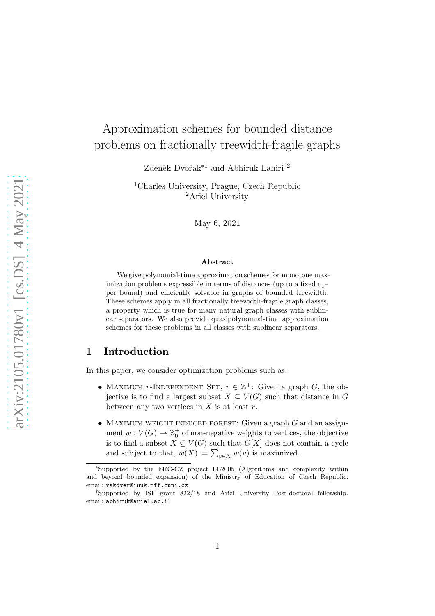# Approximation schemes for bounded distance problems on fractionally treewidth-fragile graphs

Zdeněk Dvořák<sup>∗1</sup> and Abhiruk Lahiri<sup>†2</sup>

<sup>1</sup>Charles University, Prague, Czech Republic <sup>2</sup>Ariel University

May 6, 2021

#### Abstract

We give polynomial-time approximation schemes for monotone maximization problems expressible in terms of distances (up to a fixed upper bound) and efficiently solvable in graphs of bounded treewidth. These schemes apply in all fractionally treewidth-fragile graph classes, a property which is true for many natural graph classes with sublinear separators. We also provide quasipolynomial-time approximation schemes for these problems in all classes with sublinear separators.

### 1 Introduction

In this paper, we consider optimization problems such as:

- MAXIMUM r-INDEPENDENT SET,  $r \in \mathbb{Z}^+$ : Given a graph G, the objective is to find a largest subset  $X \subseteq V(G)$  such that distance in G between any two vertices in  $X$  is at least  $r$ .
- MAXIMUM WEIGHT INDUCED FOREST: Given a graph  $G$  and an assignment  $w: V(G) \to \mathbb{Z}_0^+$  of non-negative weights to vertices, the objective is to find a subset  $X \subseteq V(G)$  such that  $G[X]$  does not contain a cycle and subject to that,  $w(X) \coloneqq \sum_{v \in X} w(v)$  is maximized.

<sup>∗</sup> Supported by the ERC-CZ project LL2005 (Algorithms and complexity within and beyond bounded expansion) of the Ministry of Education of Czech Republic. email: rakdver@iuuk.mff.cuni.cz

<sup>†</sup> Supported by ISF grant 822/18 and Ariel University Post-doctoral fellowship. email: abhiruk@ariel.ac.il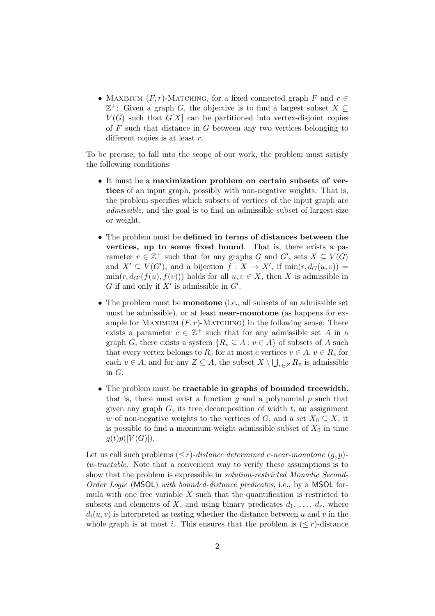• MAXIMUM  $(F, r)$ -MATCHING, for a fixed connected graph F and  $r \in$  $\mathbb{Z}^+$ : Given a graph G, the objective is to find a largest subset  $X \subseteq$  $V(G)$  such that  $G[X]$  can be partitioned into vertex-disjoint copies of  $F$  such that distance in  $G$  between any two vertices belonging to different copies is at least  $r$ .

To be precise, to fall into the scope of our work, the problem must satisfy the following conditions:

- It must be a maximization problem on certain subsets of vertices of an input graph, possibly with non-negative weights. That is, the problem specifies which subsets of vertices of the input graph are admissible, and the goal is to find an admissible subset of largest size or weight.
- The problem must be defined in terms of distances between the vertices, up to some fixed bound. That is, there exists a parameter  $r \in \mathbb{Z}^+$  such that for any graphs G and  $G'$ , sets  $X \subseteq V(G)$ and  $X' \subseteq V(G')$ , and a bijection  $f : X \to X'$ , if  $min(r, d_G(u, v)) =$  $\min(r, d_{G'}(f(u), f(v)))$  holds for all  $u, v \in X$ , then X is admissible in  $G$  if and only if  $X'$  is admissible in  $G'$ .
- The problem must be monotone (i.e., all subsets of an admissible set must be admissible), or at least **near-monotone** (as happens for example for MAXIMUM  $(F, r)$ -MATCHING) in the following sense: There exists a parameter  $c \in \mathbb{Z}^+$  such that for any admissible set A in a graph G, there exists a system  $\{R_v \subseteq A : v \in A\}$  of subsets of A such that every vertex belongs to  $R_v$  for at most c vertices  $v \in A$ ,  $v \in R_v$  for each  $v \in A$ , and for any  $Z \subseteq A$ , the subset  $X \setminus \bigcup_{v \in Z} R_v$  is admissible in G.
- The problem must be tractable in graphs of bounded treewidth, that is, there must exist a function  $g$  and a polynomial  $p$  such that given any graph  $G$ , its tree decomposition of width  $t$ , an assignment w of non-negative weights to the vertices of G, and a set  $X_0 \subseteq X$ , it is possible to find a maximum-weight admissible subset of  $X_0$  in time  $q(t)p(|V(G)|)$ .

Let us call such problems  $(\leq r)$ -distance determined c-near-monotone  $(q, p)$ tw-tractable. Note that a convenient way to verify these assumptions is to show that the problem is expressible in *solution-restricted Monadic Second-*Order Logic (MSOL) with bounded-distance predicates, i.e., by a MSOL formula with one free variable  $X$  such that the quantification is restricted to subsets and elements of X, and using binary predicates  $d_1, \ldots, d_r$ , where  $d_i(u, v)$  is interpreted as testing whether the distance between u and v in the whole graph is at most i. This ensures that the problem is  $(< r$ )-distance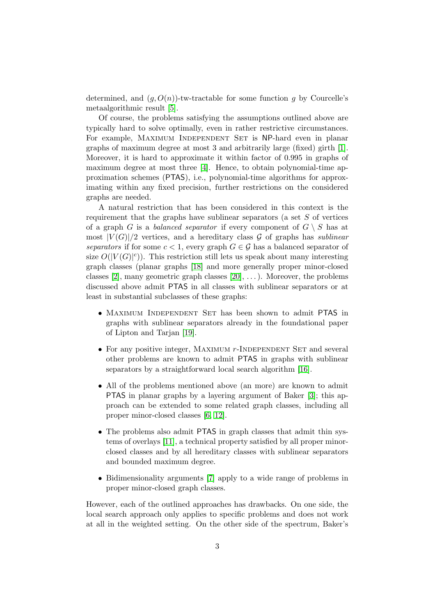determined, and  $(q, O(n))$ -tw-tractable for some function g by Courcelle's metaalgorithmic result [\[5\]](#page-12-0).

Of course, the problems satisfying the assumptions outlined above are typically hard to solve optimally, even in rather restrictive circumstances. For example, MAXIMUM INDEPENDENT SET is NP-hard even in planar graphs of maximum degree at most 3 and arbitrarily large (fixed) girth [\[1\]](#page-11-0). Moreover, it is hard to approximate it within factor of 0.995 in graphs of maximum degree at most three [\[4\]](#page-11-1). Hence, to obtain polynomial-time approximation schemes (PTAS), i.e., polynomial-time algorithms for approximating within any fixed precision, further restrictions on the considered graphs are needed.

A natural restriction that has been considered in this context is the requirement that the graphs have sublinear separators (a set S of vertices of a graph G is a *balanced separator* if every component of  $G \setminus S$  has at most  $|V(G)|/2$  vertices, and a hereditary class G of graphs has sublinear separators if for some  $c < 1$ , every graph  $G \in \mathcal{G}$  has a balanced separator of size  $O(|V(G)|^c)$ . This restriction still lets us speak about many interesting graph classes (planar graphs [\[18\]](#page-13-0) and more generally proper minor-closed classes [\[2\]](#page-11-2), many geometric graph classes  $[20]$ , ...). Moreover, the problems discussed above admit PTAS in all classes with sublinear separators or at least in substantial subclasses of these graphs:

- Maximum Independent Set has been shown to admit PTAS in graphs with sublinear separators already in the foundational paper of Lipton and Tarjan [\[19\]](#page-13-2).
- For any positive integer, MAXIMUM  $r$ -INDEPENDENT SET and several other problems are known to admit PTAS in graphs with sublinear separators by a straightforward local search algorithm [\[16\]](#page-13-3).
- All of the problems mentioned above (an more) are known to admit PTAS in planar graphs by a layering argument of Baker [\[3\]](#page-11-3); this approach can be extended to some related graph classes, including all proper minor-closed classes [\[6,](#page-12-1) [12\]](#page-12-2).
- The problems also admit **PTAS** in graph classes that admit thin systems of overlays [\[11\]](#page-12-3), a technical property satisfied by all proper minorclosed classes and by all hereditary classes with sublinear separators and bounded maximum degree.
- Bidimensionality arguments [\[7\]](#page-12-4) apply to a wide range of problems in proper minor-closed graph classes.

However, each of the outlined approaches has drawbacks. On one side, the local search approach only applies to specific problems and does not work at all in the weighted setting. On the other side of the spectrum, Baker's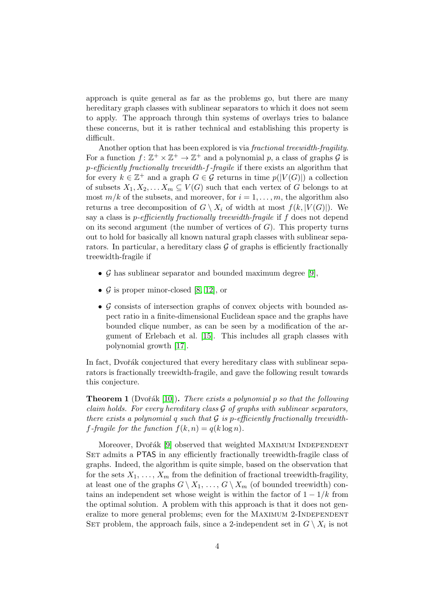approach is quite general as far as the problems go, but there are many hereditary graph classes with sublinear separators to which it does not seem to apply. The approach through thin systems of overlays tries to balance these concerns, but it is rather technical and establishing this property is difficult.

Another option that has been explored is via *fractional treewidth-fragility*. For a function  $f: \mathbb{Z}^+ \times \mathbb{Z}^+ \to \mathbb{Z}^+$  and a polynomial p, a class of graphs  $\mathcal G$  is p-efficiently fractionally treewidth-f-fragile if there exists an algorithm that for every  $k \in \mathbb{Z}^+$  and a graph  $G \in \mathcal{G}$  returns in time  $p(|V(G)|)$  a collection of subsets  $X_1, X_2, \ldots X_m \subseteq V(G)$  such that each vertex of G belongs to at most  $m/k$  of the subsets, and moreover, for  $i = 1, \ldots, m$ , the algorithm also returns a tree decomposition of  $G \setminus X_i$  of width at most  $f(k, |V(G)|)$ . We say a class is *p*-efficiently fractionally treewidth-fragile if f does not depend on its second argument (the number of vertices of  $G$ ). This property turns out to hold for basically all known natural graph classes with sublinear separators. In particular, a hereditary class  $\mathcal G$  of graphs is efficiently fractionally treewidth-fragile if

- $\mathcal G$  has sublinear separator and bounded maximum degree [\[9\]](#page-12-5),
- $\mathcal G$  is proper minor-closed [\[8,](#page-12-6) [12\]](#page-12-2), or
- $\mathcal G$  consists of intersection graphs of convex objects with bounded aspect ratio in a finite-dimensional Euclidean space and the graphs have bounded clique number, as can be seen by a modification of the argument of Erlebach et al. [\[15\]](#page-13-4). This includes all graph classes with polynomial growth [\[17\]](#page-13-5).

In fact, Dvořák conjectured that every hereditary class with sublinear separators is fractionally treewidth-fragile, and gave the following result towards this conjecture.

<span id="page-3-0"></span>**Theorem 1** (Dvořák [\[10\]](#page-12-7)). There exists a polynomial p so that the following claim holds. For every hereditary class  $\mathcal G$  of graphs with sublinear separators, there exists a polynomial q such that  $G$  is p-efficiently fractionally treewidthf-fraque for the function  $f(k, n) = q(k \log n)$ .

Moreover, Dvořák [\[9\]](#page-12-5) observed that weighted MAXIMUM INDEPENDENT SET admits a PTAS in any efficiently fractionally treewidth-fragile class of graphs. Indeed, the algorithm is quite simple, based on the observation that for the sets  $X_1, \ldots, X_m$  from the definition of fractional treewidth-fragility, at least one of the graphs  $G \setminus X_1, \ldots, G \setminus X_m$  (of bounded treewidth) contains an independent set whose weight is within the factor of  $1 - 1/k$  from the optimal solution. A problem with this approach is that it does not generalize to more general problems; even for the MAXIMUM 2-INDEPENDENT SET problem, the approach fails, since a 2-independent set in  $G \setminus X_i$  is not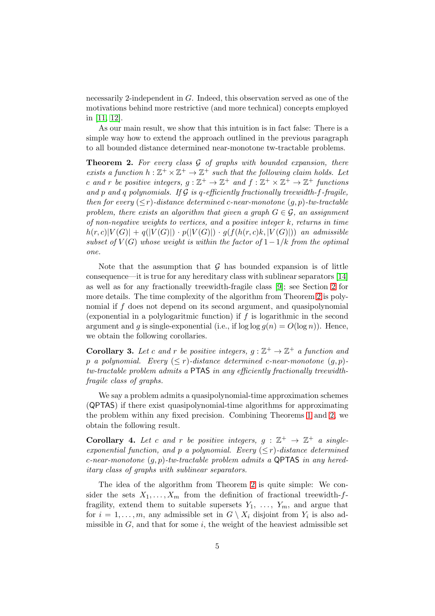necessarily 2-independent in G. Indeed, this observation served as one of the motivations behind more restrictive (and more technical) concepts employed in [\[11,](#page-12-3) [12\]](#page-12-2).

As our main result, we show that this intuition is in fact false: There is a simple way how to extend the approach outlined in the previous paragraph to all bounded distance determined near-monotone tw-tractable problems.

<span id="page-4-0"></span>**Theorem 2.** For every class  $\mathcal G$  of graphs with bounded expansion, there exists a function  $h: \mathbb{Z}^+ \times \mathbb{Z}^+ \to \mathbb{Z}^+$  such that the following claim holds. Let c and r be positive integers,  $g: \mathbb{Z}^+ \to \mathbb{Z}^+$  and  $f: \mathbb{Z}^+ \times \mathbb{Z}^+ \to \mathbb{Z}^+$  functions and p and q polynomials. If  $G$  is q-efficiently fractionally treewidth-f-fragile, then for every  $(\leq r)$ -distance determined c-near-monotone  $(q, p)$ -tw-tractable problem, there exists an algorithm that given a graph  $G \in \mathcal{G}$ , an assignment of non-negative weights to vertices, and a positive integer k, returns in time  $h(r, c)|V(G)| + q(|V(G)|) \cdot p(|V(G)|) \cdot q(f(h(r, c)k, |V(G)|))$  an admissible subset of  $V(G)$  whose weight is within the factor of  $1-\frac{1}{k}$  from the optimal one.

Note that the assumption that  $\mathcal G$  has bounded expansion is of little consequence—it is true for any hereditary class with sublinear separators [\[14\]](#page-13-6) as well as for any fractionally treewidth-fragile class [\[9\]](#page-12-5); see Section [2](#page-5-0) for more details. The time complexity of the algorithm from Theorem [2](#page-4-0) is polynomial if f does not depend on its second argument, and quasipolynomial (exponential in a polylogaritmic function) if f is logarithmic in the second argument and g is single-exponential (i.e., if  $\log \log g(n) = O(\log n)$ ). Hence, we obtain the following corollaries.

**Corollary 3.** Let c and r be positive integers,  $g : \mathbb{Z}^+ \to \mathbb{Z}^+$  a function and p a polynomial. Every  $(\leq r)$ -distance determined c-near-monotone  $(g, p)$ tw-tractable problem admits a PTAS in any efficiently fractionally treewidthfragile class of graphs.

We say a problem admits a quasipolynomial-time approximation schemes (QPTAS) if there exist quasipolynomial-time algorithms for approximating the problem within any fixed precision. Combining Theorems [1](#page-3-0) and [2,](#page-4-0) we obtain the following result.

**Corollary 4.** Let c and r be positive integers,  $g : \mathbb{Z}^+ \to \mathbb{Z}^+$  a singleexponential function, and p a polynomial. Every  $(\leq r)$ -distance determined c-near-monotone  $(q, p)$ -tw-tractable problem admits a QPTAS in any hereditary class of graphs with sublinear separators.

The idea of the algorithm from Theorem [2](#page-4-0) is quite simple: We consider the sets  $X_1, \ldots, X_m$  from the definition of fractional treewidth-ffragility, extend them to suitable supersets  $Y_1, \ldots, Y_m$ , and argue that for  $i = 1, \ldots, m$ , any admissible set in  $G \setminus X_i$  disjoint from  $Y_i$  is also admissible in  $G$ , and that for some  $i$ , the weight of the heaviest admissible set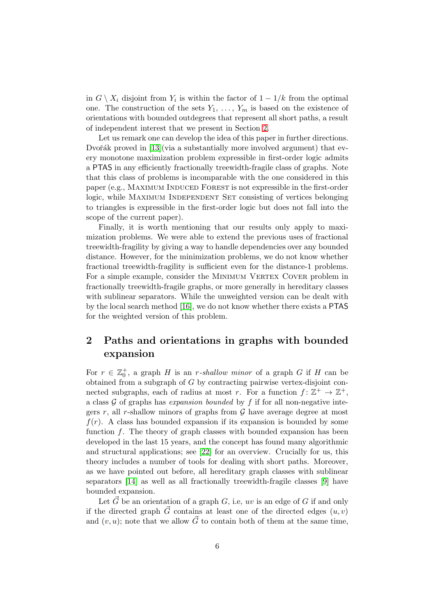in  $G \setminus X_i$  disjoint from  $Y_i$  is within the factor of  $1 - 1/k$  from the optimal one. The construction of the sets  $Y_1, \ldots, Y_m$  is based on the existence of orientations with bounded outdegrees that represent all short paths, a result of independent interest that we present in Section [2.](#page-5-0)

Let us remark one can develop the idea of this paper in further directions. Dvořák proved in  $[13]$ (via a substantially more involved argument) that every monotone maximization problem expressible in first-order logic admits a PTAS in any efficiently fractionally treewidth-fragile class of graphs. Note that this class of problems is incomparable with the one considered in this paper (e.g., MAXIMUM INDUCED FOREST is not expressible in the first-order logic, while MAXIMUM INDEPENDENT SET consisting of vertices belonging to triangles is expressible in the first-order logic but does not fall into the scope of the current paper).

Finally, it is worth mentioning that our results only apply to maximization problems. We were able to extend the previous uses of fractional treewidth-fragility by giving a way to handle dependencies over any bounded distance. However, for the minimization problems, we do not know whether fractional treewidth-fragility is sufficient even for the distance-1 problems. For a simple example, consider the MINIMUM VERTEX COVER problem in fractionally treewidth-fragile graphs, or more generally in hereditary classes with sublinear separators. While the unweighted version can be dealt with by the local search method [\[16\]](#page-13-3), we do not know whether there exists a PTAS for the weighted version of this problem.

## <span id="page-5-0"></span>2 Paths and orientations in graphs with bounded expansion

For  $r \in \mathbb{Z}_0^+$ , a graph H is an r-shallow minor of a graph G if H can be obtained from a subgraph of G by contracting pairwise vertex-disjoint connected subgraphs, each of radius at most r. For a function  $f: \mathbb{Z}^+ \to \mathbb{Z}^+$ , a class  $\mathcal G$  of graphs has *expansion bounded* by  $f$  if for all non-negative integers r, all r-shallow minors of graphs from  $\mathcal G$  have average degree at most  $f(r)$ . A class has bounded expansion if its expansion is bounded by some function  $f$ . The theory of graph classes with bounded expansion has been developed in the last 15 years, and the concept has found many algorithmic and structural applications; see [\[22\]](#page-13-7) for an overview. Crucially for us, this theory includes a number of tools for dealing with short paths. Moreover, as we have pointed out before, all hereditary graph classes with sublinear separators [\[14\]](#page-13-6) as well as all fractionally treewidth-fragile classes [\[9\]](#page-12-5) have bounded expansion.

Let  $\vec{G}$  be an orientation of a graph G, i.e, uv is an edge of G if and only if the directed graph  $\vec{G}$  contains at least one of the directed edges  $(u, v)$ and  $(v, u)$ ; note that we allow  $\vec{G}$  to contain both of them at the same time,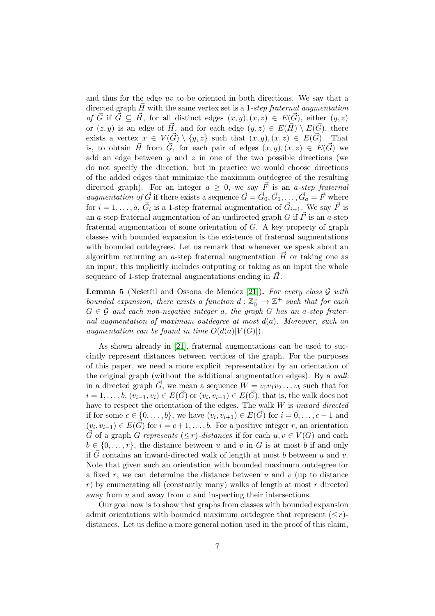and thus for the edge uv to be oriented in both directions. We say that a directed graph  $\vec{H}$  with the same vertex set is a 1-step fraternal augmentation of  $\vec{G}$  if  $\vec{G} \subseteq \vec{H}$ , for all distinct edges  $(x, y), (x, z) \in E(\vec{G})$ , either  $(y, z)$ or  $(z, y)$  is an edge of  $\vec{H}$ , and for each edge  $(y, z) \in E(\vec{H}) \setminus E(\vec{G})$ , there exists a vertex  $x \in V(\vec{G}) \setminus \{y, z\}$  such that  $(x, y), (x, z) \in E(\vec{G})$ . That is, to obtain  $\vec{H}$  from  $\vec{G}$ , for each pair of edges  $(x, y), (x, z) \in E(\vec{G})$  we add an edge between  $y$  and  $z$  in one of the two possible directions (we do not specify the direction, but in practice we would choose directions of the added edges that minimize the maximum outdegree of the resulting directed graph). For an integer  $a \geq 0$ , we say  $\vec{F}$  is an a-step fraternal *augmentation of*  $\vec{G}$  if there exists a sequence  $\vec{G} = \vec{G}_0, \vec{G}_1, \ldots, \vec{G}_a = \vec{F}$  where for  $i = 1, \ldots, a, \vec{G}_i$  is a 1-step fraternal augmentation of  $\vec{G}_{i-1}$ . We say  $\vec{F}$  is an a-step fraternal augmentation of an undirected graph G if  $\vec{F}$  is an a-step fraternal augmentation of some orientation of G. A key property of graph classes with bounded expansion is the existence of fraternal augmentations with bounded outdegrees. Let us remark that whenever we speak about an algorithm returning an a-step fraternal augmentation  $\hat{H}$  or taking one as an input, this implicitly includes outputing or taking as an input the whole sequence of 1-step fraternal augmentations ending in  $\vec{H}$ .

<span id="page-6-0"></span>**Lemma 5** (Nešetřil and Ossona de Mendez [\[21\]](#page-13-8)). For every class  $\mathcal G$  with bounded expansion, there exists a function  $d: \mathbb{Z}_0^+ \to \mathbb{Z}^+$  such that for each  $G \in \mathcal{G}$  and each non-negative integer a, the graph G has an a-step fraternal augmentation of maximum outdegree at most  $d(a)$ . Moreover, such an augmentation can be found in time  $O(d(a)|V(G)|)$ .

As shown already in [\[21\]](#page-13-8), fraternal augmentations can be used to succintly represent distances between vertices of the graph. For the purposes of this paper, we need a more explicit representation by an orientation of the original graph (without the additional augmentation edges). By a walk in a directed graph  $\vec{G}$ , we mean a sequence  $W = v_0v_1v_2 \ldots v_b$  such that for  $i = 1, \ldots, b, (v_{i-1}, v_i) \in E(\vec{G})$  or  $(v_i, v_{i-1}) \in E(\vec{G})$ ; that is, the walk does not have to respect the orientation of the edges. The walk  $W$  is *inward directed* if for some  $c \in \{0, \ldots, b\}$ , we have  $(v_i, v_{i+1}) \in E(\vec{G})$  for  $i = 0, \ldots, c - 1$  and  $(v_i, v_{i-1}) \in E(\vec{G})$  for  $i = c+1, \ldots, b$ . For a positive integer r, an orientation  $\vec{G}$  of a graph G represents ( $\leq r$ )-distances if for each  $u, v \in V(G)$  and each  $b \in \{0, \ldots, r\}$ , the distance between u and v in G is at most b if and only if  $\vec{G}$  contains an inward-directed walk of length at most b between u and v. Note that given such an orientation with bounded maximum outdegree for a fixed r, we can determine the distance between  $u$  and  $v$  (up to distance  $r$ ) by enumerating all (constantly many) walks of length at most  $r$  directed away from  $u$  and away from  $v$  and inspecting their intersections.

Our goal now is to show that graphs from classes with bounded expansion admit orientations with bounded maximum outdegree that represent  $(< r)$ . distances. Let us define a more general notion used in the proof of this claim,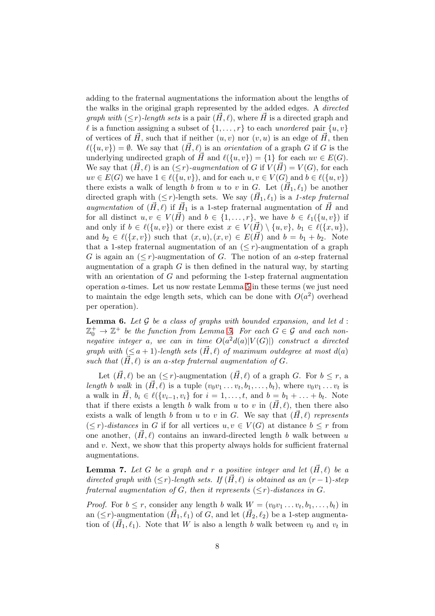adding to the fraternal augmentations the information about the lengths of the walks in the original graph represented by the added edges. A directed *graph with*  $(\leq r)$ -length sets is a pair  $(\vec{H}, \ell)$ , where  $\vec{H}$  is a directed graph and l is a function assigning a subset of  $\{1, \ldots, r\}$  to each unordered pair  $\{u, v\}$ of vertices of  $H$ , such that if neither  $(u, v)$  nor  $(v, u)$  is an edge of  $H$ , then  $\ell(\lbrace u, v \rbrace) = \emptyset$ . We say that  $(\vec{H}, \ell)$  is an *orientation* of a graph G if G is the underlying undirected graph of  $\vec{H}$  and  $\ell({u, v}) = {1}$  for each  $uv \in E(G)$ . We say that  $(H, \ell)$  is an  $(\leq r)$ -augmentation of G if  $V(H) = V(G)$ , for each  $uv \in E(G)$  we have  $1 \in \ell({u, v}$ , and for each  $u, v \in V(G)$  and  $b \in \ell({u, v}$ ) there exists a walk of length b from u to v in G. Let  $(\vec{H}_1, \ell_1)$  be another directed graph with  $(\leq r)$ -length sets. We say  $(\vec{H}_1, \ell_1)$  is a 1-step fraternal augmentation of  $(\vec{H}, \ell)$  if  $\vec{H}_1$  is a 1-step fraternal augmentation of  $\vec{H}$  and for all distinct  $u, v \in V(\overrightarrow{H})$  and  $b \in \{1, \ldots, r\}$ , we have  $b \in \ell_1(\{u, v\})$  if and only if  $b \in \ell({u, v})$  or there exist  $x \in V(\overrightarrow{H}) \setminus {u, v}$ ,  $b_1 \in \ell({x, u})$ , and  $b_2 \in \ell(\lbrace x, v \rbrace)$  such that  $(x, u), (x, v) \in E(\vec{H})$  and  $b = b_1 + b_2$ . Note that a 1-step fraternal augmentation of an  $(*r*)$ -augmentation of a graph G is again an  $(\leq r)$ -augmentation of G. The notion of an a-step fraternal augmentation of a graph  $G$  is then defined in the natural way, by starting with an orientation of  $G$  and peforming the 1-step fraternal augmentation operation a-times. Let us now restate Lemma [5](#page-6-0) in these terms (we just need to maintain the edge length sets, which can be done with  $O(a^2)$  overhead per operation).

<span id="page-7-0"></span>**Lemma 6.** Let  $\mathcal G$  be a class of graphs with bounded expansion, and let  $d$ :  $\mathbb{Z}_{0}^{+} \to \mathbb{Z}^{+}$  be the function from Lemma [5.](#page-6-0) For each  $G \in \mathcal{G}$  and each nonnegative integer a, we can in time  $O(a^2d(a)|V(G)|)$  construct a directed graph with  $(\leq a+1)$ -length sets  $(\vec{H}, \ell)$  of maximum outdegree at most  $d(a)$ such that  $(H, \ell)$  is an a-step fraternal augmentation of G.

Let  $(\vec{H}, \ell)$  be an  $(\leq r)$ -augmentation  $(\vec{H}, \ell)$  of a graph G. For  $b \leq r$ , a length b walk in  $(\vec{H}, \ell)$  is a tuple  $(v_0v_1 \ldots v_t, b_1, \ldots, b_t)$ , where  $v_0v_1 \ldots v_t$  is a walk in  $\vec{H}, b_i \in \ell(\{v_{i-1}, v_i\})$  for  $i = 1, ..., t$ , and  $b = b_1 + ... + b_t$ . Note that if there exists a length b walk from u to v in  $(\vec{H}, \ell)$ , then there also exists a walk of length b from u to v in G. We say that  $(\vec{H}, \ell)$  represents  $(\leq r)$ -distances in G if for all vertices  $u, v \in V(G)$  at distance  $b \leq r$  from one another,  $(H, \ell)$  contains an inward-directed length b walk between u and v. Next, we show that this property always holds for sufficient fraternal augmentations.

<span id="page-7-1"></span>**Lemma 7.** Let G be a graph and r a positive integer and let  $(\vec{H}, \ell)$  be a directed graph with  $(\leq r)$ -length sets. If  $(\vec{H}, \ell)$  is obtained as an  $(r - 1)$ -step fraternal augmentation of G, then it represents  $(\leq r)$ -distances in G.

*Proof.* For  $b \leq r$ , consider any length b walk  $W = (v_0v_1 \dots v_t, b_1, \dots, b_t)$  in an  $(\leq r)$ -augmentation  $(\vec{H}_1, \ell_1)$  of G, and let  $(\vec{H}_2, \ell_2)$  be a 1-step augmentation of  $(\vec{H}_1, \ell_1)$ . Note that W is also a length b walk between  $v_0$  and  $v_t$  in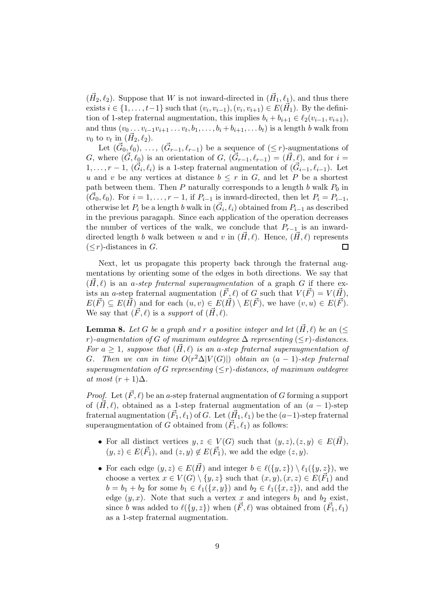$(\vec{H}_2, \ell_2)$ . Suppose that W is not inward-directed in  $(\vec{H}_1, \ell_1)$ , and thus there exists  $i \in \{1, \ldots, t-1\}$  such that  $(v_i, v_{i-1}), (v_i, v_{i+1}) \in E(\vec{H}_1)$ . By the definition of 1-step fraternal augmentation, this implies  $b_i + b_{i+1} \in \ell_2(v_{i-1}, v_{i+1}),$ and thus  $(v_0 \ldots v_{i-1} v_{i+1} \ldots v_t, b_1, \ldots, b_i + b_{i+1}, \ldots b_t)$  is a length b walk from  $v_0$  to  $v_t$  in  $(\vec{H}_2, \ell_2)$ .

Let  $(\vec{G}_0, \ell_0), \ldots, (\vec{G}_{r-1}, \ell_{r-1})$  be a sequence of  $(\leq r)$ -augmentations of G, where  $(\vec{G}, \ell_0)$  is an orientation of G,  $(\vec{G}_{r-1}, \ell_{r-1}) = (\vec{H}, \ell)$ , and for  $i =$  $1, \ldots, r-1, (\vec{G}_i, \ell_i)$  is a 1-step fraternal augmentation of  $(\vec{G}_{i-1}, \ell_{i-1})$ . Let u and v be any vertices at distance  $b \leq r$  in G, and let P be a shortest path between them. Then  $P$  naturally corresponds to a length  $b$  walk  $P_0$  in  $(\vec{G}_0, \ell_0)$ . For  $i = 1, \ldots, r - 1$ , if  $P_{i-1}$  is inward-directed, then let  $P_i = P_{i-1}$ , otherwise let  $P_i$  be a length  $b$  walk in  $(\vec{G}_i, \ell_i)$  obtained from  $P_{i-1}$  as described in the previous paragaph. Since each application of the operation decreases the number of vertices of the walk, we conclude that  $P_{r-1}$  is an inwarddirected length b walk between u and v in  $(\vec{H}, \ell)$ . Hence,  $(\vec{H}, \ell)$  represents  $(\leq r)$ -distances in G.  $\Box$ 

Next, let us propagate this property back through the fraternal augmentations by orienting some of the edges in both directions. We say that  $(\vec{H}, \ell)$  is an a-step fraternal superaugmentation of a graph G if there exists an a-step fraternal augmentation  $(\vec{F}, \ell)$  of G such that  $V(\vec{F}) = V(\vec{H})$ .  $E(\vec{F}) \subseteq E(\vec{H})$  and for each  $(u, v) \in E(\vec{H}) \setminus E(\vec{F})$ , we have  $(v, u) \in E(\vec{F})$ . We say that  $(\vec{F}, \ell)$  is a support of  $(\vec{H}, \ell)$ .

<span id="page-8-0"></span>**Lemma 8.** Let G be a graph and r a positive integer and let  $(H, \ell)$  be an (< r)-augmentation of G of maximum outdegree  $\Delta$  representing ( $\leq r$ )-distances. For  $a \geq 1$ , suppose that  $(\vec{H}, \ell)$  is an a-step fraternal superaugmentation of G. Then we can in time  $O(r^2\Delta|V(G)|)$  obtain an  $(a-1)$ -step fraternal superaugmentation of G representing  $\leq r$ )-distances, of maximum outdegree at most  $(r+1)\Delta$ .

*Proof.* Let  $(\vec{F}, \ell)$  be an a-step fraternal augmentation of G forming a support of  $(\vec{H}, \ell)$ , obtained as a 1-step fraternal augmentation of an  $(a - 1)$ -step fraternal augmentation  $(\vec{F}_1, \ell_1)$  of  $G$ . Let  $(\vec{H}_1, \ell_1)$  be the  $(a-1)$ -step fraternal superaugmentation of G obtained from  $(\vec{F}_1, \ell_1)$  as follows:

- For all distinct vertices  $y, z \in V(G)$  such that  $(y, z), (z, y) \in E(H)$ ,  $(y, z) \in E(\vec{F}_1)$ , and  $(z, y) \notin E(\vec{F}_1)$ , we add the edge  $(z, y)$ .
- For each edge  $(y, z) \in E(\vec{H})$  and integer  $b \in \ell({y, z}) \setminus \ell_1({y, z})$ , we choose a vertex  $x \in V(G) \setminus \{y, z\}$  such that  $(x, y), (x, z) \in E(\vec{F}_1)$  and  $b = b_1 + b_2$  for some  $b_1 \in \ell_1(\{x, y\})$  and  $b_2 \in \ell_1(\{x, z\})$ , and add the edge  $(y, x)$ . Note that such a vertex x and integers  $b_1$  and  $b_2$  exist, since b was added to  $\ell(\lbrace y, z \rbrace)$  when  $(\vec{F}, \ell)$  was obtained from  $(\vec{F}_1, \ell_1)$ as a 1-step fraternal augmentation.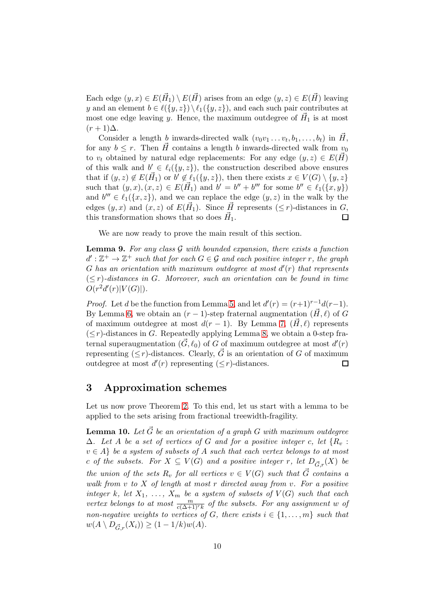Each edge  $(y, x) \in E(\vec{H}_1) \setminus E(\vec{H})$  arises from an edge  $(y, z) \in E(\vec{H})$  leaving y and an element  $b \in \ell({y,z}) \setminus \ell_1({y,z})$ , and each such pair contributes at most one edge leaving y. Hence, the maximum outdegree of  $\vec{H}_1$  is at most  $(r+1)\Delta$ .

Consider a length b inwards-directed walk  $(v_0v_1 \ldots v_t, b_1, \ldots, b_t)$  in  $\vec{H}$ , for any  $b \leq r$ . Then  $\vec{H}$  contains a length b inwards-directed walk from  $v_0$ to  $v_t$  obtained by natural edge replacements: For any edge  $(y, z) \in E(\vec{H})$ of this walk and  $b' \in \ell_i({y,z})$ , the construction described above ensures that if  $(y, z) \notin E(\vec{H}_1)$  or  $\vec{b}' \notin \ell_1(\{y, z\})$ , then there exists  $x \in V(G) \setminus \{y, z\}$ such that  $(y, x), (x, z) \in E(\vec{H}_1)$  and  $b' = b'' + b'''$  for some  $b'' \in \ell_1(\{x, y\})$ and  $b''' \in \ell_1({x, z})$ , and we can replace the edge  $(y, z)$  in the walk by the edges  $(y, x)$  and  $(x, z)$  of  $E(\vec{H}_1)$ . Since  $\vec{H}$  represents  $(\leq r)$ -distances in G, this transformation shows that so does  $\vec{H}_1$ .  $\Box$ 

We are now ready to prove the main result of this section.

<span id="page-9-0"></span>**Lemma 9.** For any class  $G$  with bounded expansion, there exists a function  $d':\mathbb{Z}^+\rightarrow\mathbb{Z}^+$  such that for each  $G\in\mathcal{G}$  and each positive integer r, the graph  $G$  has an orientation with maximum outdegree at most  $d'(r)$  that represents  $(< r$ )-distances in G. Moreover, such an orientation can be found in time  $O(r^2d'(r)|V(G)|)$ .

*Proof.* Let d be the function from Lemma [5,](#page-6-0) and let  $d'(r) = (r+1)^{r-1}d(r-1)$ . By Lemma [6,](#page-7-0) we obtain an  $(r-1)$ -step fraternal augmentation  $(\vec{H}, \ell)$  of G of maximum outdegree at most  $d(r-1)$ . By Lemma [7,](#page-7-1)  $(\vec{H}, \ell)$  represents  $(\leq r)$ -distances in G. Repeatedly applying Lemma [8,](#page-8-0) we obtain a 0-step fraternal superaugmentation  $(\vec{G}, \ell_0)$  of  $G$  of maximum outdegree at most  $d'(r)$ representing  $(\leq r)$ -distances. Clearly,  $\vec{G}$  is an orientation of G of maximum outdegree at most  $d'(r)$  representing  $(\leq r)$ -distances.  $\Box$ 

### 3 Approximation schemes

Let us now prove Theorem [2.](#page-4-0) To this end, let us start with a lemma to be applied to the sets arising from fractional treewidth-fragility.

<span id="page-9-1"></span>**Lemma 10.** Let  $\vec{G}$  be an orientation of a graph G with maximum outdegree  $\Delta$ . Let A be a set of vertices of G and for a positive integer c, let  $\{R_v$ :  $v \in A$  be a system of subsets of A such that each vertex belongs to at most c of the subsets. For  $X \subseteq V(G)$  and a positive integer r, let  $D_{\vec{G},r}(X)$  be the union of the sets  $R_v$  for all vertices  $v \in V(G)$  such that  $\vec{G}$  contains a walk from  $v$  to  $X$  of length at most r directed away from  $v$ . For a positive integer k, let  $X_1, \ldots, X_m$  be a system of subsets of  $V(G)$  such that each vertex belongs to at most  $\frac{m}{c(\Delta+1)^{r}k}$  of the subsets. For any assignment w of non-negative weights to vertices of G, there exists  $i \in \{1, \ldots, m\}$  such that  $w(A \setminus D_{\vec{G},r}(X_i)) \geq (1 - 1/k)w(A).$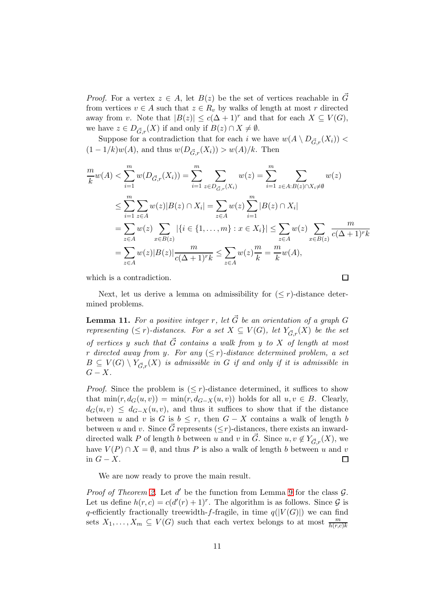*Proof.* For a vertex  $z \in A$ , let  $B(z)$  be the set of vertices reachable in  $\vec{G}$ from vertices  $v \in A$  such that  $z \in R_v$  by walks of length at most r directed away from v. Note that  $|B(z)| \leq c(\Delta+1)^r$  and that for each  $X \subseteq V(G)$ , we have  $z \in D_{\vec{G},r}(X)$  if and only if  $B(z) \cap X \neq \emptyset$ .

Suppose for a contradiction that for each i we have  $w(A \setminus D_{\vec{G},r}(X_i))$  <  $(1 - 1/k)w(A)$ , and thus  $w(D_{\vec{G},r}(X_i)) > w(A)/k$ . Then

$$
\frac{m}{k}w(A) < \sum_{i=1}^{m} w(D_{\vec{G},r}(X_i)) = \sum_{i=1}^{m} \sum_{z \in D_{\vec{G},r}(X_i)} w(z) = \sum_{i=1}^{m} \sum_{z \in A: B(z) \cap X_i \neq \emptyset} w(z)
$$
\n
$$
\leq \sum_{i=1}^{m} \sum_{z \in A} w(z) |B(z) \cap X_i| = \sum_{z \in A} w(z) \sum_{i=1}^{m} |B(z) \cap X_i|
$$
\n
$$
= \sum_{z \in A} w(z) \sum_{x \in B(z)} |\{i \in \{1, \dots, m\} : x \in X_i\}| \leq \sum_{z \in A} w(z) \sum_{x \in B(z)} \frac{m}{c(\Delta + 1)^r k}
$$
\n
$$
= \sum_{z \in A} w(z) |B(z)| \frac{m}{c(\Delta + 1)^r k} \leq \sum_{z \in A} w(z) \frac{m}{k} = \frac{m}{k} w(A),
$$

 $\Box$ 

which is a contradiction.

Next, let us derive a lemma on admissibility for  $(\leq r)$ -distance determined problems.

<span id="page-10-0"></span>**Lemma 11.** For a positive integer r, let  $\vec{G}$  be an orientation of a graph G representing  $(\leq r)$ -distances. For a set  $X \subseteq V(G)$ , let  $Y_{\vec{G},r}(X)$  be the set of vertices y such that  $\vec{G}$  contains a walk from y to X of length at most r directed away from y. For any  $(\leq r)$ -distance determined problem, a set  $B \subseteq V(G) \setminus Y_{\vec{G},r}(X)$  is admissible in G if and only if it is admissible in  $G - X$ .

*Proof.* Since the problem is  $(\leq r)$ -distance determined, it suffices to show that  $\min(r, d_G(u, v)) = \min(r, d_{G-X}(u, v))$  holds for all  $u, v \in B$ . Clearly,  $d_G(u, v) \leq d_{G-X}(u, v)$ , and thus it suffices to show that if the distance between u and v is G is  $b \leq r$ , then  $G - X$  contains a walk of length b between u and v. Since  $\vec{G}$  represents ( $\leq r$ )-distances, there exists an inwarddirected walk P of length b between u and v in  $\vec{G}$ . Since  $u, v \notin Y_{\vec{G},r}(X)$ , we have  $V(P) \cap X = \emptyset$ , and thus P is also a walk of length b between u and v in  $G - X$ .  $\Box$ 

We are now ready to prove the main result.

Proof of Theorem [2.](#page-4-0) Let  $d'$  be the function from Lemma [9](#page-9-0) for the class  $G$ . Let us define  $h(r, c) = c(d'(r) + 1)^r$ . The algorithm is as follows. Since  $\mathcal G$  is q-efficiently fractionally treewidth-f-fragile, in time  $q(|V(G)|)$  we can find sets  $X_1, \ldots, X_m \subseteq V(G)$  such that each vertex belongs to at most  $\frac{m}{h(r,c)k}$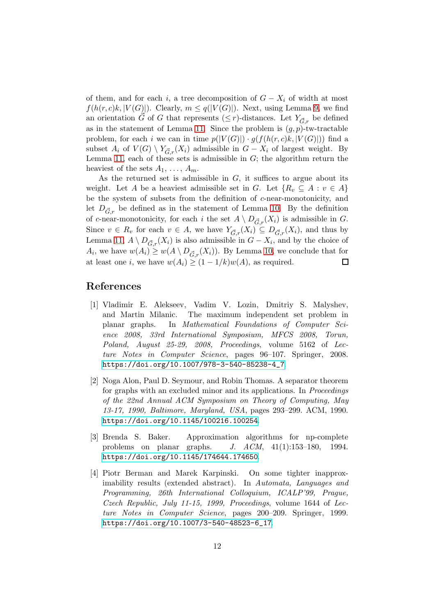of them, and for each i, a tree decomposition of  $G - X_i$  of width at most  $f(h(r, c)k, |V(G)|)$ . Clearly,  $m \leq q(|V(G)|)$ . Next, using Lemma [9,](#page-9-0) we find an orientation  $\vec{G}$  of G that represents ( $\leq r$ )-distances. Let  $Y_{\vec{G},r}$  be defined as in the statement of Lemma [11.](#page-10-0) Since the problem is  $(g, p)$ -tw-tractable problem, for each i we can in time  $p(|V(G)|) \cdot g(f(h(r, c)k, |V(G)|))$  find a subset  $A_i$  of  $V(G) \setminus Y_{\vec{G},r}(X_i)$  admissible in  $G - X_i$  of largest weight. By Lemma [11,](#page-10-0) each of these sets is admissible in  $G$ ; the algorithm return the heaviest of the sets  $A_1, \ldots, A_m$ .

As the returned set is admissible in  $G$ , it suffices to argue about its weight. Let A be a heaviest admissible set in G. Let  $\{R_v \subseteq A : v \in A\}$ be the system of subsets from the definition of c-near-monotonicity, and let  $D_{\vec{G},r}$  be defined as in the statement of Lemma [10.](#page-9-1) By the definition of c-near-monotonicity, for each i the set  $A \setminus D_{\vec{G},r}(X_i)$  is admissible in G. Since  $v \in R_v$  for each  $v \in A$ , we have  $Y_{\vec{G},r}(X_i) \subseteq D_{\vec{G},r}(X_i)$ , and thus by Lemma [11,](#page-10-0)  $A \setminus D_{\vec{G},r}(X_i)$  is also admissible in  $G - X_i$ , and by the choice of  $A_i$ , we have  $w(A_i) \ge w(A \setminus D_{\vec{G},r}(X_i))$ . By Lemma [10,](#page-9-1) we conclude that for at least one i, we have  $w(A_i) \geq (1 - 1/k)w(A)$ , as required.  $\Box$ 

### <span id="page-11-0"></span>References

- [1] Vladimir E. Alekseev, Vadim V. Lozin, Dmitriy S. Malyshev, and Martin Milanic. The maximum independent set problem in planar graphs. In Mathematical Foundations of Computer Science 2008, 33rd International Symposium, MFCS 2008, Torun, Poland, August 25-29, 2008, Proceedings, volume 5162 of Lecture Notes in Computer Science, pages 96–107. Springer, 2008. [https://doi.org/10.1007/978-3-540-85238-4\\_7](https://doi.org/10.1007/978-3-540-85238-4_7).
- <span id="page-11-2"></span>[2] Noga Alon, Paul D. Seymour, and Robin Thomas. A separator theorem for graphs with an excluded minor and its applications. In Proceedings of the 22nd Annual ACM Symposium on Theory of Computing, May 13-17, 1990, Baltimore, Maryland, USA, pages 293–299. ACM, 1990. <https://doi.org/10.1145/100216.100254>.
- <span id="page-11-3"></span>[3] Brenda S. Baker. Approximation algorithms for np-complete problems on planar graphs. J. ACM, 41(1):153–180, 1994. <https://doi.org/10.1145/174644.174650>.
- <span id="page-11-1"></span>[4] Piotr Berman and Marek Karpinski. On some tighter inapproximability results (extended abstract). In Automata, Languages and Programming, 26th International Colloquium, ICALP'99, Prague, Czech Republic, July 11-15, 1999, Proceedings, volume 1644 of Lecture Notes in Computer Science, pages 200–209. Springer, 1999. [https://doi.org/10.1007/3-540-48523-6\\_17](https://doi.org/10.1007/3-540-48523-6_17).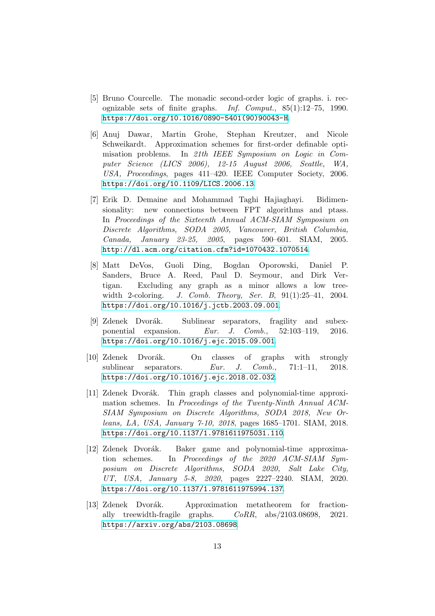- <span id="page-12-0"></span>[5] Bruno Courcelle. The monadic second-order logic of graphs. i. recognizable sets of finite graphs. Inf. Comput., 85(1):12–75, 1990. [https://doi.org/10.1016/0890-5401\(90\)90043-H](https://doi.org/10.1016/0890-5401(90)90043-H).
- <span id="page-12-1"></span>[6] Anuj Dawar, Martin Grohe, Stephan Kreutzer, and Nicole Schweikardt. Approximation schemes for first-order definable optimisation problems. In 21th IEEE Symposium on Logic in Computer Science (LICS 2006), 12-15 August 2006, Seattle, WA, USA, Proceedings, pages 411–420. IEEE Computer Society, 2006. <https://doi.org/10.1109/LICS.2006.13>.
- <span id="page-12-4"></span>[7] Erik D. Demaine and Mohammad Taghi Hajiaghayi. Bidimensionality: new connections between FPT algorithms and ptass. In Proceedings of the Sixteenth Annual ACM-SIAM Symposium on Discrete Algorithms, SODA 2005, Vancouver, British Columbia, Canada, January 23-25, 2005, pages 590–601. SIAM, 2005. <http://dl.acm.org/citation.cfm?id=1070432.1070514>.
- <span id="page-12-6"></span>[8] Matt DeVos, Guoli Ding, Bogdan Oporowski, Daniel P. Sanders, Bruce A. Reed, Paul D. Seymour, and Dirk Vertigan. Excluding any graph as a minor allows a low treewidth 2-coloring. J. Comb. Theory, Ser. B, 91(1):25–41, 2004. <https://doi.org/10.1016/j.jctb.2003.09.001>.
- <span id="page-12-5"></span>[9] Zdenek Dvorák. Sublinear separators, fragility and subexponential expansion. Eur. J. Comb., 52:103–119, 2016. <https://doi.org/10.1016/j.ejc.2015.09.001>.
- <span id="page-12-7"></span>[10] Zdenek Dvorák. On classes of graphs with strongly sublinear separators. Eur. J. Comb., 71:1-11, 2018. <https://doi.org/10.1016/j.ejc.2018.02.032>.
- <span id="page-12-3"></span>[11] Zdenek Dvorák. Thin graph classes and polynomial-time approximation schemes. In Proceedings of the Twenty-Ninth Annual ACM-SIAM Symposium on Discrete Algorithms, SODA 2018, New Orleans, LA, USA, January 7-10, 2018, pages 1685–1701. SIAM, 2018. <https://doi.org/10.1137/1.9781611975031.110>.
- <span id="page-12-2"></span>[12] Zdenek Dvorák. Baker game and polynomial-time approximation schemes. In Proceedings of the 2020 ACM-SIAM Symposium on Discrete Algorithms, SODA 2020, Salt Lake City, UT, USA, January 5-8, 2020, pages 2227–2240. SIAM, 2020. <https://doi.org/10.1137/1.9781611975994.137>.
- <span id="page-12-8"></span>[13] Zdenek Dvorák. Approximation metatheorem for fractionally treewidth-fragile graphs. CoRR, abs/2103.08698, 2021. <https://arxiv.org/abs/2103.08698>.